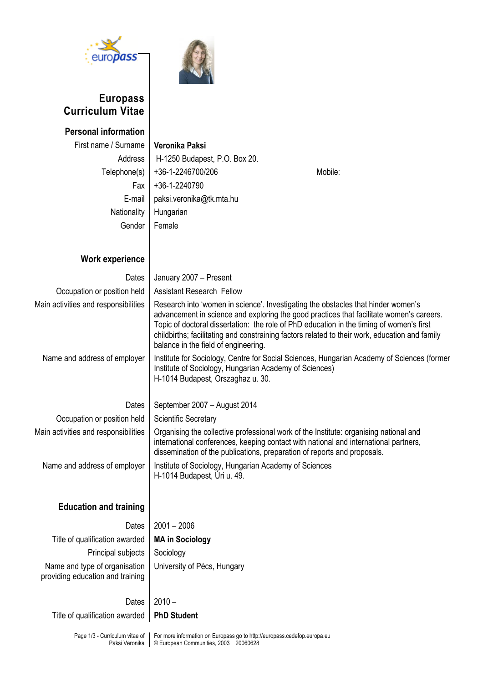

 $\overline{\phantom{a}}$ 

## **Europass Curriculum Vitae**



| Veronika Paksi<br>H-1250 Budapest, P.O. Box 20.<br>+36-1-2246700/206<br>Mobile:<br>+36-1-2240790<br>paksi.veronika@tk.mta.hu<br>Hungarian<br>Female                                                                                                                                                                                                                                                                 |  |  |  |  |
|---------------------------------------------------------------------------------------------------------------------------------------------------------------------------------------------------------------------------------------------------------------------------------------------------------------------------------------------------------------------------------------------------------------------|--|--|--|--|
|                                                                                                                                                                                                                                                                                                                                                                                                                     |  |  |  |  |
| January 2007 - Present                                                                                                                                                                                                                                                                                                                                                                                              |  |  |  |  |
| <b>Assistant Research Fellow</b>                                                                                                                                                                                                                                                                                                                                                                                    |  |  |  |  |
| Research into 'women in science'. Investigating the obstacles that hinder women's<br>advancement in science and exploring the good practices that facilitate women's careers.<br>Topic of doctoral dissertation: the role of PhD education in the timing of women's first<br>childbirths; facilitating and constraining factors related to their work, education and family<br>balance in the field of engineering. |  |  |  |  |
| Institute for Sociology, Centre for Social Sciences, Hungarian Academy of Sciences (former<br>Institute of Sociology, Hungarian Academy of Sciences)<br>H-1014 Budapest, Orszaghaz u. 30.                                                                                                                                                                                                                           |  |  |  |  |
| September 2007 - August 2014                                                                                                                                                                                                                                                                                                                                                                                        |  |  |  |  |
| <b>Scientific Secretary</b>                                                                                                                                                                                                                                                                                                                                                                                         |  |  |  |  |
| Organising the collective professional work of the Institute: organising national and<br>international conferences, keeping contact with national and international partners,<br>dissemination of the publications, preparation of reports and proposals.                                                                                                                                                           |  |  |  |  |
| Institute of Sociology, Hungarian Academy of Sciences<br>H-1014 Budapest, Úri u. 49.                                                                                                                                                                                                                                                                                                                                |  |  |  |  |
|                                                                                                                                                                                                                                                                                                                                                                                                                     |  |  |  |  |
| $2001 - 2006$                                                                                                                                                                                                                                                                                                                                                                                                       |  |  |  |  |
| <b>MA in Sociology</b>                                                                                                                                                                                                                                                                                                                                                                                              |  |  |  |  |
| Sociology                                                                                                                                                                                                                                                                                                                                                                                                           |  |  |  |  |
| University of Pécs, Hungary                                                                                                                                                                                                                                                                                                                                                                                         |  |  |  |  |
| $2010 -$                                                                                                                                                                                                                                                                                                                                                                                                            |  |  |  |  |
| <b>PhD Student</b>                                                                                                                                                                                                                                                                                                                                                                                                  |  |  |  |  |
|                                                                                                                                                                                                                                                                                                                                                                                                                     |  |  |  |  |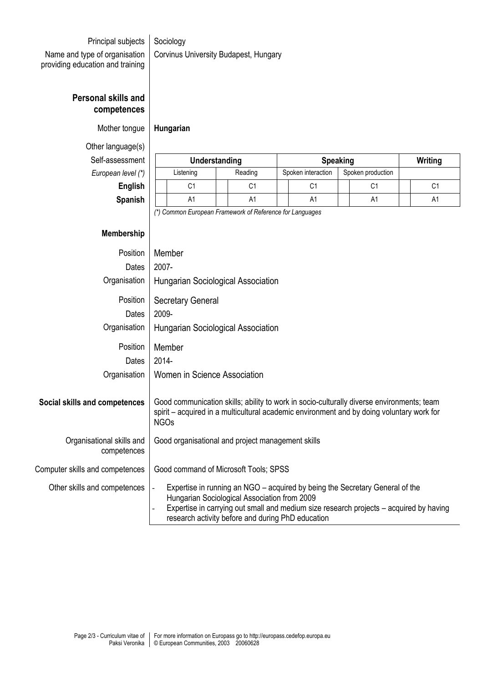## Principal subjects | Sociology

Name and type of organisation providing education and training Corvinus University Budapest, Hungary

## **Personal skills and competences**

Mother tongue **Hungarian**

Other language(s)

 $Self-assessme$ **European level** 

| ອ∽∽ອ∽(∽/        |               |         |  |                    |  |                   |  |         |
|-----------------|---------------|---------|--|--------------------|--|-------------------|--|---------|
| essment         | Understanding |         |  | <b>Speaking</b>    |  |                   |  | Writing |
| $n$ level $(*)$ | Listening     | Reading |  | Spoken interaction |  | Spoken production |  |         |
| English         | С1            | С1      |  | C1                 |  | C1                |  | C1      |
| Spanish         | A1            | A1      |  | A1                 |  | A1                |  | A1      |

*(\*) Common European Framework of Reference for Languages*

## **Membership**

| Position                                 | Member                                                                                                                                                                                                                                                                                |
|------------------------------------------|---------------------------------------------------------------------------------------------------------------------------------------------------------------------------------------------------------------------------------------------------------------------------------------|
| Dates                                    | 2007-                                                                                                                                                                                                                                                                                 |
| Organisation                             | Hungarian Sociological Association                                                                                                                                                                                                                                                    |
| Position                                 | <b>Secretary General</b>                                                                                                                                                                                                                                                              |
| Dates                                    | 2009-                                                                                                                                                                                                                                                                                 |
| Organisation                             | Hungarian Sociological Association                                                                                                                                                                                                                                                    |
| Position                                 | Member                                                                                                                                                                                                                                                                                |
| Dates                                    | $2014 -$                                                                                                                                                                                                                                                                              |
| Organisation                             | Women in Science Association                                                                                                                                                                                                                                                          |
| Social skills and competences            | Good communication skills; ability to work in socio-culturally diverse environments; team<br>spirit – acquired in a multicultural academic environment and by doing voluntary work for<br><b>NGOs</b>                                                                                 |
| Organisational skills and<br>competences | Good organisational and project management skills                                                                                                                                                                                                                                     |
| Computer skills and competences          | Good command of Microsoft Tools; SPSS                                                                                                                                                                                                                                                 |
| Other skills and competences             | Expertise in running an NGO – acquired by being the Secretary General of the<br>$\Box$<br>Hungarian Sociological Association from 2009<br>Expertise in carrying out small and medium size research projects - acquired by having<br>research activity before and during PhD education |